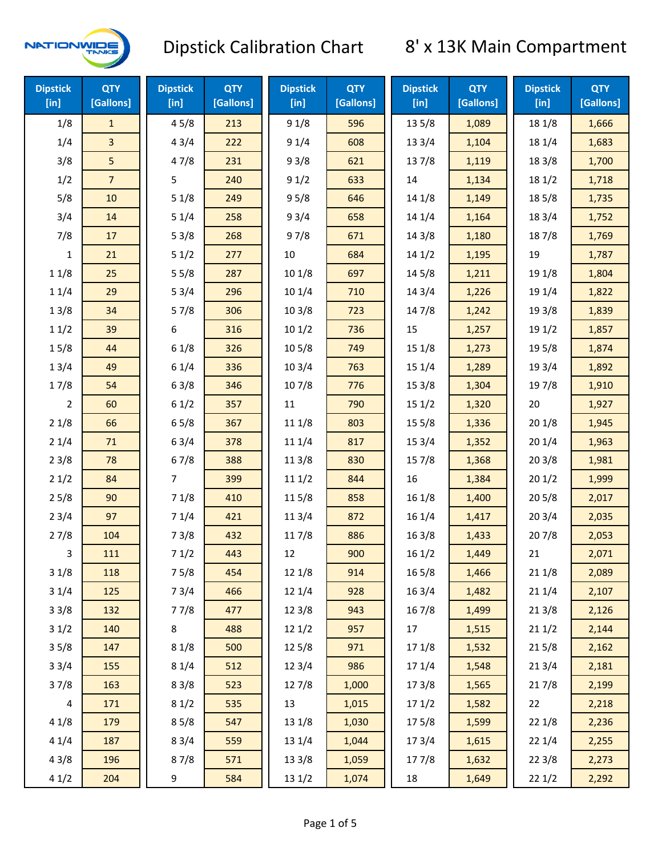

| <b>Dipstick</b><br>$[$ in] | <b>QTY</b><br>[Gallons] | <b>Dipstick</b><br>[in] | <b>QTY</b><br>[Gallons] | <b>Dipstick</b><br>[in] | <b>QTY</b><br>[Gallons] | <b>Dipstick</b><br>[in] | <b>QTY</b><br>[Gallons] | <b>Dipstick</b><br>[in] | <b>QTY</b><br>[Gallons] |
|----------------------------|-------------------------|-------------------------|-------------------------|-------------------------|-------------------------|-------------------------|-------------------------|-------------------------|-------------------------|
| 1/8                        | $\mathbf{1}$            | 45/8                    | 213                     | 91/8                    | 596                     | 135/8                   | 1,089                   | 18 1/8                  | 1,666                   |
| 1/4                        | 3                       | 43/4                    | 222                     | 91/4                    | 608                     | 13 3/4                  | 1,104                   | 18 1/4                  | 1,683                   |
| 3/8                        | 5                       | 47/8                    | 231                     | 93/8                    | 621                     | 137/8                   | 1,119                   | 18 3/8                  | 1,700                   |
| 1/2                        | $\overline{7}$          | 5                       | 240                     | 91/2                    | 633                     | 14                      | 1,134                   | 18 1/2                  | 1,718                   |
| 5/8                        | 10                      | 51/8                    | 249                     | 95/8                    | 646                     | 14 1/8                  | 1,149                   | 185/8                   | 1,735                   |
| 3/4                        | 14                      | 51/4                    | 258                     | 93/4                    | 658                     | 14 1/4                  | 1,164                   | 18 3/4                  | 1,752                   |
| 7/8                        | 17                      | 53/8                    | 268                     | 97/8                    | 671                     | 14 3/8                  | 1,180                   | 187/8                   | 1,769                   |
| $\mathbf{1}$               | 21                      | 51/2                    | 277                     | $10\,$                  | 684                     | 141/2                   | 1,195                   | 19                      | 1,787                   |
| 11/8                       | 25                      | 55/8                    | 287                     | 101/8                   | 697                     | 145/8                   | 1,211                   | 19 1/8                  | 1,804                   |
| 11/4                       | 29                      | 53/4                    | 296                     | 10 1/4                  | 710                     | 14 3/4                  | 1,226                   | 19 1/4                  | 1,822                   |
| 13/8                       | 34                      | 57/8                    | 306                     | 103/8                   | 723                     | 147/8                   | 1,242                   | 19 3/8                  | 1,839                   |
| 11/2                       | 39                      | 6                       | 316                     | 101/2                   | 736                     | 15                      | 1,257                   | 19 1/2                  | 1,857                   |
| 15/8                       | 44                      | 61/8                    | 326                     | 10 <sub>5/8</sub>       | 749                     | 15 1/8                  | 1,273                   | 19 5/8                  | 1,874                   |
| 13/4                       | 49                      | 61/4                    | 336                     | 103/4                   | 763                     | 15 1/4                  | 1,289                   | 19 3/4                  | 1,892                   |
| 17/8                       | 54                      | 63/8                    | 346                     | 107/8                   | 776                     | 15 3/8                  | 1,304                   | 197/8                   | 1,910                   |
| $\overline{2}$             | 60                      | 61/2                    | 357                     | 11                      | 790                     | 151/2                   | 1,320                   | 20                      | 1,927                   |
| 21/8                       | 66                      | 65/8                    | 367                     | 11 1/8                  | 803                     | 15 5/8                  | 1,336                   | 201/8                   | 1,945                   |
| 21/4                       | 71                      | 63/4                    | 378                     | 11 1/4                  | 817                     | 153/4                   | 1,352                   | 201/4                   | 1,963                   |
| 23/8                       | 78                      | 67/8                    | 388                     | 11 3/8                  | 830                     | 15 7/8                  | 1,368                   | 203/8                   | 1,981                   |
| 21/2                       | 84                      | $\overline{7}$          | 399                     | 111/2                   | 844                     | 16                      | 1,384                   | 201/2                   | 1,999                   |
| 25/8                       | 90                      | 71/8                    | 410                     | 115/8                   | 858                     | 161/8                   | 1,400                   | 205/8                   | 2,017                   |
| 23/4                       | 97                      | 71/4                    | 421                     | 11 3/4                  | 872                     | 16 1/4                  | 1,417                   | 203/4                   | 2,035                   |
| 27/8                       | 104                     | 73/8                    | 432                     | 117/8                   | 886                     | 16 3/8                  | 1,433                   | 207/8                   | 2,053                   |
| 3                          | 111                     | 71/2                    | 443                     | 12                      | 900                     | 161/2                   | 1,449                   | 21                      | 2,071                   |
| 31/8                       | 118                     | 75/8                    | 454                     | 12 1/8                  | 914                     | 16 5/8                  | 1,466                   | 211/8                   | 2,089                   |
| 31/4                       | 125                     | 73/4                    | 466                     | 12 1/4                  | 928                     | 16 3/4                  | 1,482                   | 211/4                   | 2,107                   |
| 33/8                       | 132                     | 77/8                    | 477                     | 12 3/8                  | 943                     | 16 7/8                  | 1,499                   | 213/8                   | 2,126                   |
| 31/2                       | 140                     | 8                       | 488                     | 121/2                   | 957                     | 17                      | 1,515                   | 211/2                   | 2,144                   |
| 35/8                       | 147                     | 81/8                    | 500                     | 125/8                   | 971                     | 17 1/8                  | 1,532                   | 215/8                   | 2,162                   |
| 33/4                       | 155                     | 81/4                    | 512                     | 12 3/4                  | 986                     | 17 1/4                  | 1,548                   | 213/4                   | 2,181                   |
| 37/8                       | 163                     | 83/8                    | 523                     | 127/8                   | 1,000                   | 173/8                   | 1,565                   | 217/8                   | 2,199                   |
| 4                          | 171                     | 81/2                    | 535                     | 13                      | 1,015                   | 171/2                   | 1,582                   | 22                      | 2,218                   |
| 41/8                       | 179                     | 85/8                    | 547                     | 13 1/8                  | 1,030                   | 175/8                   | 1,599                   | 22 1/8                  | 2,236                   |
| 41/4                       | 187                     | 83/4                    | 559                     | 13 1/4                  | 1,044                   | 17 3/4                  | 1,615                   | 221/4                   | 2,255                   |
| 43/8                       | 196                     | 87/8                    | 571                     | 13 3/8                  | 1,059                   | 177/8                   | 1,632                   | 223/8                   | 2,273                   |
| 41/2                       | 204                     | 9                       | 584                     | 13 1/2                  | 1,074                   | 18                      | 1,649                   | 221/2                   | 2,292                   |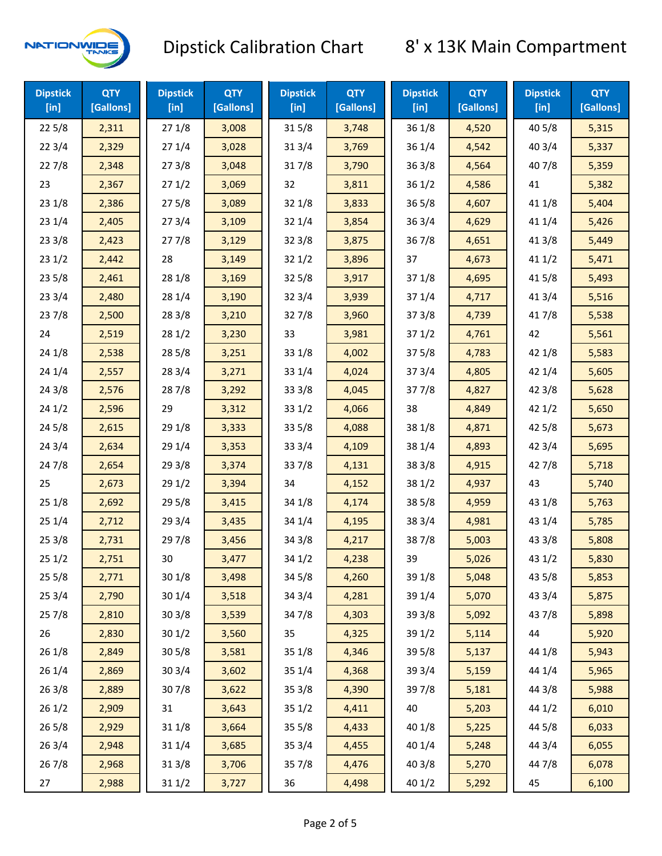

| <b>Dipstick</b><br>[in] | <b>QTY</b><br>[Gallons] | <b>Dipstick</b><br>$[$ in] | <b>QTY</b><br>[Gallons] | <b>Dipstick</b><br>$[$ in] | <b>QTY</b><br>[Gallons] | <b>Dipstick</b><br>$[$ in] | <b>QTY</b><br>[Gallons] | <b>Dipstick</b><br>$[$ in] | <b>QTY</b><br>[Gallons] |
|-------------------------|-------------------------|----------------------------|-------------------------|----------------------------|-------------------------|----------------------------|-------------------------|----------------------------|-------------------------|
| 225/8                   | 2,311                   | 271/8                      | 3,008                   | 315/8                      | 3,748                   | 36 1/8                     | 4,520                   | 40 5/8                     | 5,315                   |
| 223/4                   | 2,329                   | 271/4                      | 3,028                   | 31 3/4                     | 3,769                   | 36 1/4                     | 4,542                   | 40 3/4                     | 5,337                   |
| 227/8                   | 2,348                   | 273/8                      | 3,048                   | 317/8                      | 3,790                   | 363/8                      | 4,564                   | 407/8                      | 5,359                   |
| 23                      | 2,367                   | 271/2                      | 3,069                   | 32                         | 3,811                   | 361/2                      | 4,586                   | 41                         | 5,382                   |
| 231/8                   | 2,386                   | 275/8                      | 3,089                   | 32 1/8                     | 3,833                   | 365/8                      | 4,607                   | 41 1/8                     | 5,404                   |
| 231/4                   | 2,405                   | 273/4                      | 3,109                   | 32 1/4                     | 3,854                   | 363/4                      | 4,629                   | 41 1/4                     | 5,426                   |
| 233/8                   | 2,423                   | 277/8                      | 3,129                   | 323/8                      | 3,875                   | 367/8                      | 4,651                   | 41 3/8                     | 5,449                   |
| 231/2                   | 2,442                   | 28                         | 3,149                   | 321/2                      | 3,896                   | 37                         | 4,673                   | 411/2                      | 5,471                   |
| 235/8                   | 2,461                   | 28 1/8                     | 3,169                   | 32 5/8                     | 3,917                   | 37 1/8                     | 4,695                   | 41 5/8                     | 5,493                   |
| 233/4                   | 2,480                   | 28 1/4                     | 3,190                   | 32 3/4                     | 3,939                   | 37 1/4                     | 4,717                   | 41 3/4                     | 5,516                   |
| 237/8                   | 2,500                   | 28 3/8                     | 3,210                   | 327/8                      | 3,960                   | 373/8                      | 4,739                   | 417/8                      | 5,538                   |
| 24                      | 2,519                   | 28 1/2                     | 3,230                   | 33                         | 3,981                   | 371/2                      | 4,761                   | 42                         | 5,561                   |
| 24 1/8                  | 2,538                   | 28 5/8                     | 3,251                   | 33 1/8                     | 4,002                   | 375/8                      | 4,783                   | 42 1/8                     | 5,583                   |
| 241/4                   | 2,557                   | 283/4                      | 3,271                   | 33 1/4                     | 4,024                   | 373/4                      | 4,805                   | 42 1/4                     | 5,605                   |
| 243/8                   | 2,576                   | 287/8                      | 3,292                   | 33 3/8                     | 4,045                   | 377/8                      | 4,827                   | 42 3/8                     | 5,628                   |
| 241/2                   | 2,596                   | 29                         | 3,312                   | 331/2                      | 4,066                   | 38                         | 4,849                   | 421/2                      | 5,650                   |
| 245/8                   | 2,615                   | 29 1/8                     | 3,333                   | 33 5/8                     | 4,088                   | 38 1/8                     | 4,871                   | 42 5/8                     | 5,673                   |
| 243/4                   | 2,634                   | 29 1/4                     | 3,353                   | 33 3/4                     | 4,109                   | 38 1/4                     | 4,893                   | 42 3/4                     | 5,695                   |
| 24 7/8                  | 2,654                   | 29 3/8                     | 3,374                   | 337/8                      | 4,131                   | 38 3/8                     | 4,915                   | 42 7/8                     | 5,718                   |
| 25                      | 2,673                   | 29 1/2                     | 3,394                   | 34                         | 4,152                   | 38 1/2                     | 4,937                   | 43                         | 5,740                   |
| 251/8                   | 2,692                   | 29 5/8                     | 3,415                   | 34 1/8                     | 4,174                   | 38 5/8                     | 4,959                   | 43 1/8                     | 5,763                   |
| 251/4                   | 2,712                   | 29 3/4                     | 3,435                   | 34 1/4                     | 4,195                   | 38 3/4                     | 4,981                   | 43 1/4                     | 5,785                   |
| 253/8                   | 2,731                   | 297/8                      | 3,456                   | 34 3/8                     | 4,217                   | 387/8                      | 5,003                   | 43 3/8                     | 5,808                   |
| 251/2                   | 2,751                   | 30                         | 3,477                   | 34 1/2                     | 4,238                   | 39                         | 5,026                   | 43 1/2                     | 5,830                   |
| 255/8                   | 2,771                   | 301/8                      | 3,498                   | 34 5/8                     | 4,260                   | 39 1/8                     | 5,048                   | 43 5/8                     | 5,853                   |
| 253/4                   | 2,790                   | 30 1/4                     | 3,518                   | 34 3/4                     | 4,281                   | 39 1/4                     | 5,070                   | 43 3/4                     | 5,875                   |
| 257/8                   | 2,810                   | 303/8                      | 3,539                   | 347/8                      | 4,303                   | 39 3/8                     | 5,092                   | 437/8                      | 5,898                   |
| 26                      | 2,830                   | 301/2                      | 3,560                   | 35                         | 4,325                   | 39 1/2                     | 5,114                   | 44                         | 5,920                   |
| 26 1/8                  | 2,849                   | 305/8                      | 3,581                   | 35 1/8                     | 4,346                   | 39 5/8                     | 5,137                   | 44 1/8                     | 5,943                   |
| 26 1/4                  | 2,869                   | 30 3/4                     | 3,602                   | 35 1/4                     | 4,368                   | 39 3/4                     | 5,159                   | 44 1/4                     | 5,965                   |
| 263/8                   | 2,889                   | 307/8                      | 3,622                   | 35 3/8                     | 4,390                   | 397/8                      | 5,181                   | 44 3/8                     | 5,988                   |
| 261/2                   | 2,909                   | 31                         | 3,643                   | 351/2                      | 4,411                   | 40                         | 5,203                   | 44 1/2                     | 6,010                   |
| 265/8                   | 2,929                   | 31 1/8                     | 3,664                   | 35 5/8                     | 4,433                   | 40 1/8                     | 5,225                   | 44 5/8                     | 6,033                   |
| 263/4                   | 2,948                   | 31 1/4                     | 3,685                   | 35 3/4                     | 4,455                   | 40 1/4                     | 5,248                   | 44 3/4                     | 6,055                   |
| 267/8                   | 2,968                   | 31 3/8                     | 3,706                   | 357/8                      | 4,476                   | 40 3/8                     | 5,270                   | 447/8                      | 6,078                   |
| 27                      | 2,988                   | 31 1/2                     | 3,727                   | 36                         | 4,498                   | 40 1/2                     | 5,292                   | 45                         | 6,100                   |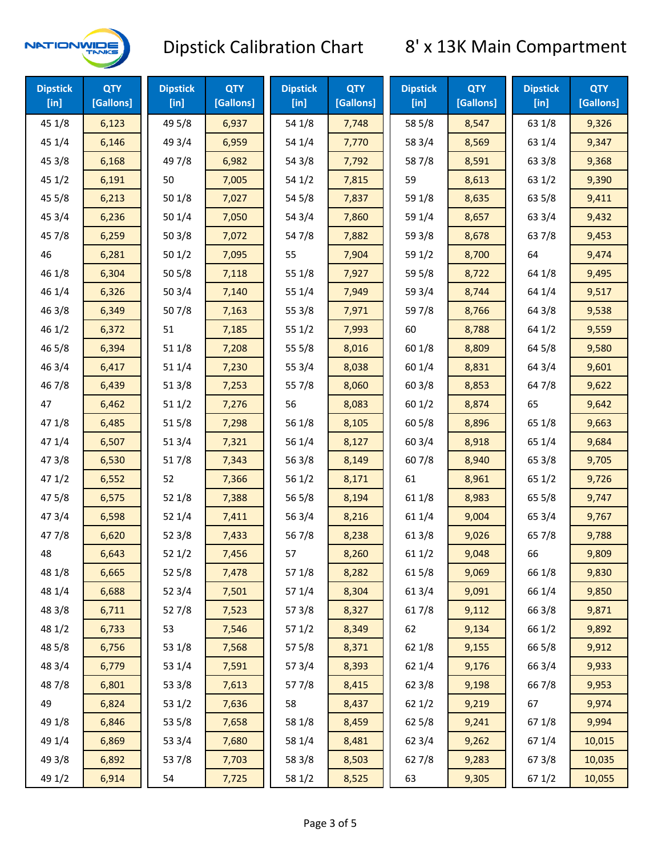

| <b>Dipstick</b><br>$[$ in] | <b>QTY</b><br>[Gallons] | <b>Dipstick</b><br>$[$ in] | <b>QTY</b><br>[Gallons] | <b>Dipstick</b><br>$[$ in] | <b>QTY</b><br>[Gallons] | <b>Dipstick</b><br>$[$ in] | <b>QTY</b><br>[Gallons] | <b>Dipstick</b><br>$[$ in] | <b>QTY</b><br>[Gallons] |
|----------------------------|-------------------------|----------------------------|-------------------------|----------------------------|-------------------------|----------------------------|-------------------------|----------------------------|-------------------------|
| 45 1/8                     | 6,123                   | 49 5/8                     | 6,937                   | 54 1/8                     | 7,748                   | 58 5/8                     | 8,547                   | 63 1/8                     | 9,326                   |
| 45 1/4                     | 6,146                   | 49 3/4                     | 6,959                   | 54 1/4                     | 7,770                   | 58 3/4                     | 8,569                   | 63 1/4                     | 9,347                   |
| 45 3/8                     | 6,168                   | 49 7/8                     | 6,982                   | 54 3/8                     | 7,792                   | 587/8                      | 8,591                   | 63 3/8                     | 9,368                   |
| 451/2                      | 6,191                   | 50                         | 7,005                   | 54 1/2                     | 7,815                   | 59                         | 8,613                   | 63 1/2                     | 9,390                   |
| 45 5/8                     | 6,213                   | 50 1/8                     | 7,027                   | 54 5/8                     | 7,837                   | 59 1/8                     | 8,635                   | 63 5/8                     | 9,411                   |
| 45 3/4                     | 6,236                   | 501/4                      | 7,050                   | 54 3/4                     | 7,860                   | 59 1/4                     | 8,657                   | 63 3/4                     | 9,432                   |
| 45 7/8                     | 6,259                   | 503/8                      | 7,072                   | 54 7/8                     | 7,882                   | 59 3/8                     | 8,678                   | 63 7/8                     | 9,453                   |
| 46                         | 6,281                   | 501/2                      | 7,095                   | 55                         | 7,904                   | 59 1/2                     | 8,700                   | 64                         | 9,474                   |
| 46 1/8                     | 6,304                   | 505/8                      | 7,118                   | 55 1/8                     | 7,927                   | 59 5/8                     | 8,722                   | 64 1/8                     | 9,495                   |
| 46 1/4                     | 6,326                   | 503/4                      | 7,140                   | 55 1/4                     | 7,949                   | 59 3/4                     | 8,744                   | 64 1/4                     | 9,517                   |
| 46 3/8                     | 6,349                   | 507/8                      | 7,163                   | 55 3/8                     | 7,971                   | 59 7/8                     | 8,766                   | 64 3/8                     | 9,538                   |
| 46 1/2                     | 6,372                   | 51                         | 7,185                   | 551/2                      | 7,993                   | 60                         | 8,788                   | 64 1/2                     | 9,559                   |
| 46 5/8                     | 6,394                   | 51 1/8                     | 7,208                   | 55 5/8                     | 8,016                   | 60 1/8                     | 8,809                   | 64 5/8                     | 9,580                   |
| 46 3/4                     | 6,417                   | 51 1/4                     | 7,230                   | 55 3/4                     | 8,038                   | 60 1/4                     | 8,831                   | 64 3/4                     | 9,601                   |
| 46 7/8                     | 6,439                   | 513/8                      | 7,253                   | 55 7/8                     | 8,060                   | 60 3/8                     | 8,853                   | 64 7/8                     | 9,622                   |
| 47                         | 6,462                   | 511/2                      | 7,276                   | 56                         | 8,083                   | 601/2                      | 8,874                   | 65                         | 9,642                   |
| 47 1/8                     | 6,485                   | 515/8                      | 7,298                   | 56 1/8                     | 8,105                   | 60 5/8                     | 8,896                   | 65 1/8                     | 9,663                   |
| 47 1/4                     | 6,507                   | 513/4                      | 7,321                   | 56 1/4                     | 8,127                   | 603/4                      | 8,918                   | 65 1/4                     | 9,684                   |
| 47 3/8                     | 6,530                   | 517/8                      | 7,343                   | 56 3/8                     | 8,149                   | 60 7/8                     | 8,940                   | 65 3/8                     | 9,705                   |
| 47 1/2                     | 6,552                   | 52                         | 7,366                   | 56 1/2                     | 8,171                   | 61                         | 8,961                   | 65 1/2                     | 9,726                   |
| 47 5/8                     | 6,575                   | 52 1/8                     | 7,388                   | 56 5/8                     | 8,194                   | 61 1/8                     | 8,983                   | 65 5/8                     | 9,747                   |
| 47 3/4                     | 6,598                   | 52 1/4                     | 7,411                   | 56 3/4                     | 8,216                   | 61 1/4                     | 9,004                   | 65 3/4                     | 9,767                   |
| 477/8                      | 6,620                   | 52 3/8                     | 7,433                   | 567/8                      | 8,238                   | 613/8                      | 9,026                   | 65 7/8                     | 9,788                   |
| 48                         | 6,643                   | 521/2                      | 7,456                   | 57                         | 8,260                   | 611/2                      | 9,048                   | 66                         | 9,809                   |
| 48 1/8                     | 6,665                   | 525/8                      | 7,478                   | 57 1/8                     | 8,282                   | 615/8                      | 9,069                   | 66 1/8                     | 9,830                   |
| 48 1/4                     | 6,688                   | 523/4                      | 7,501                   | 57 1/4                     | 8,304                   | 61 3/4                     | 9,091                   | 66 1/4                     | 9,850                   |
| 48 3/8                     | 6,711                   | 527/8                      | 7,523                   | 573/8                      | 8,327                   | 617/8                      | 9,112                   | 66 3/8                     | 9,871                   |
| 48 1/2                     | 6,733                   | 53                         | 7,546                   | 571/2                      | 8,349                   | 62                         | 9,134                   | 66 1/2                     | 9,892                   |
| 48 5/8                     | 6,756                   | 53 1/8                     | 7,568                   | 57 5/8                     | 8,371                   | 62 1/8                     | 9,155                   | 66 5/8                     | 9,912                   |
| 48 3/4                     | 6,779                   | 53 1/4                     | 7,591                   | 57 3/4                     | 8,393                   | 62 1/4                     | 9,176                   | 66 3/4                     | 9,933                   |
| 487/8                      | 6,801                   | 53 3/8                     | 7,613                   | 577/8                      | 8,415                   | 62 3/8                     | 9,198                   | 667/8                      | 9,953                   |
| 49                         | 6,824                   | 53 1/2                     | 7,636                   | 58                         | 8,437                   | 621/2                      | 9,219                   | 67                         | 9,974                   |
| 49 1/8                     | 6,846                   | 53 5/8                     | 7,658                   | 58 1/8                     | 8,459                   | 62 5/8                     | 9,241                   | 671/8                      | 9,994                   |
| 49 1/4                     | 6,869                   | 53 3/4                     | 7,680                   | 58 1/4                     | 8,481                   | 62 3/4                     | 9,262                   | 671/4                      | 10,015                  |
| 49 3/8                     | 6,892                   | 537/8                      | 7,703                   | 58 3/8                     | 8,503                   | 627/8                      | 9,283                   | 673/8                      | 10,035                  |
| 49 1/2                     | 6,914                   | 54                         | 7,725                   | 58 1/2                     | 8,525                   | 63                         | 9,305                   | 67 1/2                     | 10,055                  |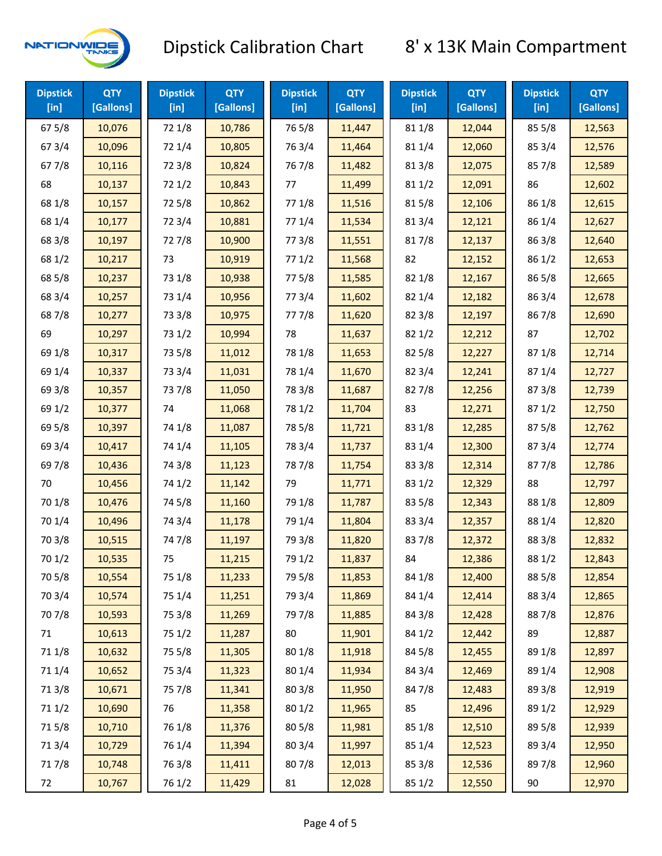

| <b>Dipstick</b><br>$[$ in] | <b>QTY</b><br>[Gallons] | <b>Dipstick</b><br>$[$ in] | <b>QTY</b><br>[Gallons] | <b>Dipstick</b><br>$[$ in] | <b>QTY</b><br>[Gallons] | <b>Dipstick</b><br>$[$ in] | <b>QTY</b><br>[Gallons] | <b>Dipstick</b><br>[in] | <b>QTY</b><br>[Gallons] |
|----------------------------|-------------------------|----------------------------|-------------------------|----------------------------|-------------------------|----------------------------|-------------------------|-------------------------|-------------------------|
| 67 5/8                     | 10,076                  | 72 1/8                     | 10,786                  | 765/8                      | 11,447                  | 81 1/8                     | 12,044                  | 855/8                   | 12,563                  |
| 67 3/4                     | 10,096                  | 72 1/4                     | 10,805                  | 763/4                      | 11,464                  | 81 1/4                     | 12,060                  | 85 3/4                  | 12,576                  |
| 677/8                      | 10,116                  | 72 3/8                     | 10,824                  | 767/8                      | 11,482                  | 81 3/8                     | 12,075                  | 857/8                   | 12,589                  |
| 68                         | 10,137                  | 721/2                      | 10,843                  | 77                         | 11,499                  | 811/2                      | 12,091                  | 86                      | 12,602                  |
| 68 1/8                     | 10,157                  | 725/8                      | 10,862                  | 77 1/8                     | 11,516                  | 815/8                      | 12,106                  | 86 1/8                  | 12,615                  |
| 68 1/4                     | 10,177                  | 72 3/4                     | 10,881                  | 77 1/4                     | 11,534                  | 813/4                      | 12,121                  | 86 1/4                  | 12,627                  |
| 68 3/8                     | 10,197                  | 727/8                      | 10,900                  | 77 3/8                     | 11,551                  | 817/8                      | 12,137                  | 86 3/8                  | 12,640                  |
| 68 1/2                     | 10,217                  | 73                         | 10,919                  | 771/2                      | 11,568                  | 82                         | 12,152                  | 86 1/2                  | 12,653                  |
| 68 5/8                     | 10,237                  | 73 1/8                     | 10,938                  | 775/8                      | 11,585                  | 82 1/8                     | 12,167                  | 86 5/8                  | 12,665                  |
| 68 3/4                     | 10,257                  | 73 1/4                     | 10,956                  | 773/4                      | 11,602                  | 82 1/4                     | 12,182                  | 86 3/4                  | 12,678                  |
| 687/8                      | 10,277                  | 73 3/8                     | 10,975                  | 777/8                      | 11,620                  | 82 3/8                     | 12,197                  | 867/8                   | 12,690                  |
| 69                         | 10,297                  | 73 1/2                     | 10,994                  | 78                         | 11,637                  | 821/2                      | 12,212                  | 87                      | 12,702                  |
| 69 1/8                     | 10,317                  | 73 5/8                     | 11,012                  | 78 1/8                     | 11,653                  | 825/8                      | 12,227                  | 871/8                   | 12,714                  |
| 69 1/4                     | 10,337                  | 73 3/4                     | 11,031                  | 78 1/4                     | 11,670                  | 82 3/4                     | 12,241                  | 871/4                   | 12,727                  |
| 69 3/8                     | 10,357                  | 737/8                      | 11,050                  | 78 3/8                     | 11,687                  | 827/8                      | 12,256                  | 87 3/8                  | 12,739                  |
| 69 1/2                     | 10,377                  | 74                         | 11,068                  | 78 1/2                     | 11,704                  | 83                         | 12,271                  | 871/2                   | 12,750                  |
| 69 5/8                     | 10,397                  | 74 1/8                     | 11,087                  | 78 5/8                     | 11,721                  | 83 1/8                     | 12,285                  | 875/8                   | 12,762                  |
| 69 3/4                     | 10,417                  | 74 1/4                     | 11,105                  | 78 3/4                     | 11,737                  | 83 1/4                     | 12,300                  | 87 3/4                  | 12,774                  |
| 697/8                      | 10,436                  | 74 3/8                     | 11,123                  | 787/8                      | 11,754                  | 83 3/8                     | 12,314                  | 877/8                   | 12,786                  |
| 70                         | 10,456                  | 74 1/2                     | 11,142                  | 79                         | 11,771                  | 83 1/2                     | 12,329                  | 88                      | 12,797                  |
| 70 1/8                     | 10,476                  | 74 5/8                     | 11,160                  | 79 1/8                     | 11,787                  | 83 5/8                     | 12,343                  | 88 1/8                  | 12,809                  |
| 70 1/4                     | 10,496                  | 74 3/4                     | 11,178                  | 79 1/4                     | 11,804                  | 83 3/4                     | 12,357                  | 88 1/4                  | 12,820                  |
| 70 3/8                     | 10,515                  | 747/8                      | 11,197                  | 79 3/8                     | 11,820                  | 837/8                      | 12,372                  | 88 3/8                  | 12,832                  |
| 70 1/2                     | 10,535                  | 75                         | 11,215                  | 79 1/2                     | 11,837                  | 84                         | 12,386                  | 88 1/2                  | 12,843                  |
| 70 5/8                     | 10,554                  | 75 1/8                     | 11,233                  | 79 5/8                     | 11,853                  | 84 1/8                     | 12,400                  | 88 5/8                  | 12,854                  |
| 70 3/4                     | 10,574                  | 75 1/4                     | 11,251                  | 79 3/4                     | 11,869                  | 84 1/4                     | 12,414                  | 88 3/4                  | 12,865                  |
| 70 7/8                     | 10,593                  | 75 3/8                     | 11,269                  | 79 7/8                     | 11,885                  | 84 3/8                     | 12,428                  | 887/8                   | 12,876                  |
| 71                         | 10,613                  | 75 1/2                     | 11,287                  | 80                         | 11,901                  | 84 1/2                     | 12,442                  | 89                      | 12,887                  |
| 71 1/8                     | 10,632                  | 75 5/8                     | 11,305                  | 80 1/8                     | 11,918                  | 84 5/8                     | 12,455                  | 89 1/8                  | 12,897                  |
| 711/4                      | 10,652                  | 75 3/4                     | 11,323                  | 80 1/4                     | 11,934                  | 84 3/4                     | 12,469                  | 89 1/4                  | 12,908                  |
| 713/8                      | 10,671                  | 75 7/8                     | 11,341                  | 80 3/8                     | 11,950                  | 84 7/8                     | 12,483                  | 89 3/8                  | 12,919                  |
| 71 1/2                     | 10,690                  | 76                         | 11,358                  | 80 1/2                     | 11,965                  | 85                         | 12,496                  | 89 1/2                  | 12,929                  |
| 715/8                      | 10,710                  | 76 1/8                     | 11,376                  | 80 5/8                     | 11,981                  | 85 1/8                     | 12,510                  | 89 5/8                  | 12,939                  |
| 713/4                      | 10,729                  | 76 1/4                     | 11,394                  | 80 3/4                     | 11,997                  | 85 1/4                     | 12,523                  | 89 3/4                  | 12,950                  |
| 717/8                      | 10,748                  | 763/8                      | 11,411                  | 807/8                      | 12,013                  | 85 3/8                     | 12,536                  | 897/8                   | 12,960                  |
| 72                         | 10,767                  | 76 1/2                     | 11,429                  | 81                         | 12,028                  | 85 1/2                     | 12,550                  | 90                      | 12,970                  |